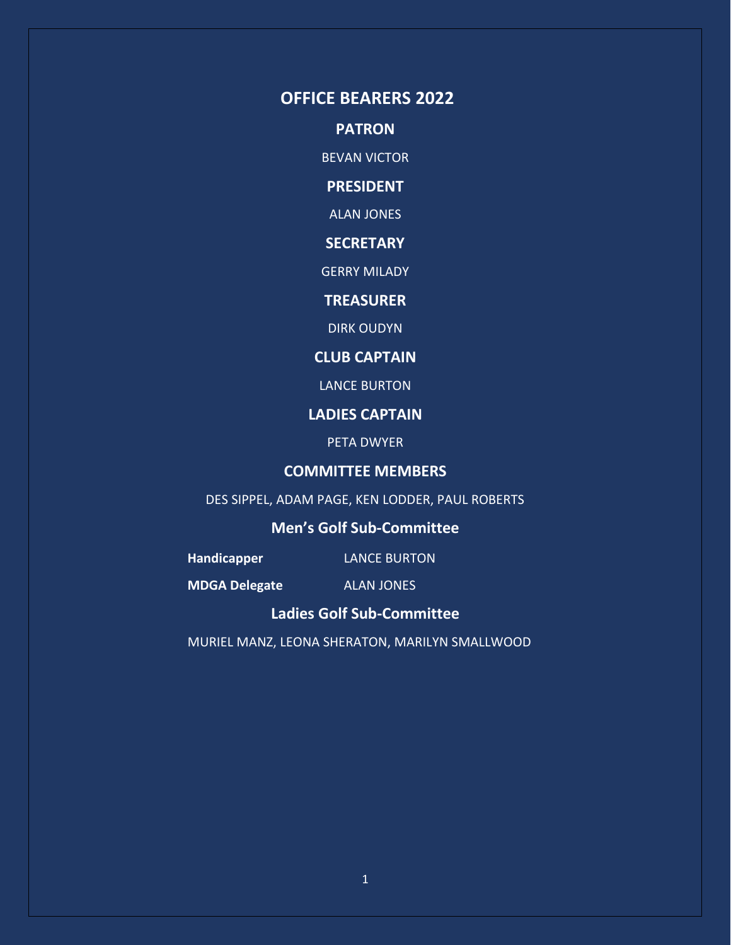## **OFFICE BEARERS 2022**

**PATRON**

BEVAN VICTOR

### **PRESIDENT**

ALAN JONES

### **SECRETARY**

GERRY MILADY

### **TREASURER**

DIRK OUDYN

### **CLUB CAPTAIN**

LANCE BURTON

## **LADIES CAPTAIN**

PETA DWYER

### **COMMITTEE MEMBERS**

DES SIPPEL, ADAM PAGE, KEN LODDER, PAUL ROBERTS

## **Men's Golf Sub-Committee**

**Handicapper** LANCE BURTON

**MDGA Delegate** ALAN JONES

### **Ladies Golf Sub-Committee**

MURIEL MANZ, LEONA SHERATON, MARILYN SMALLWOOD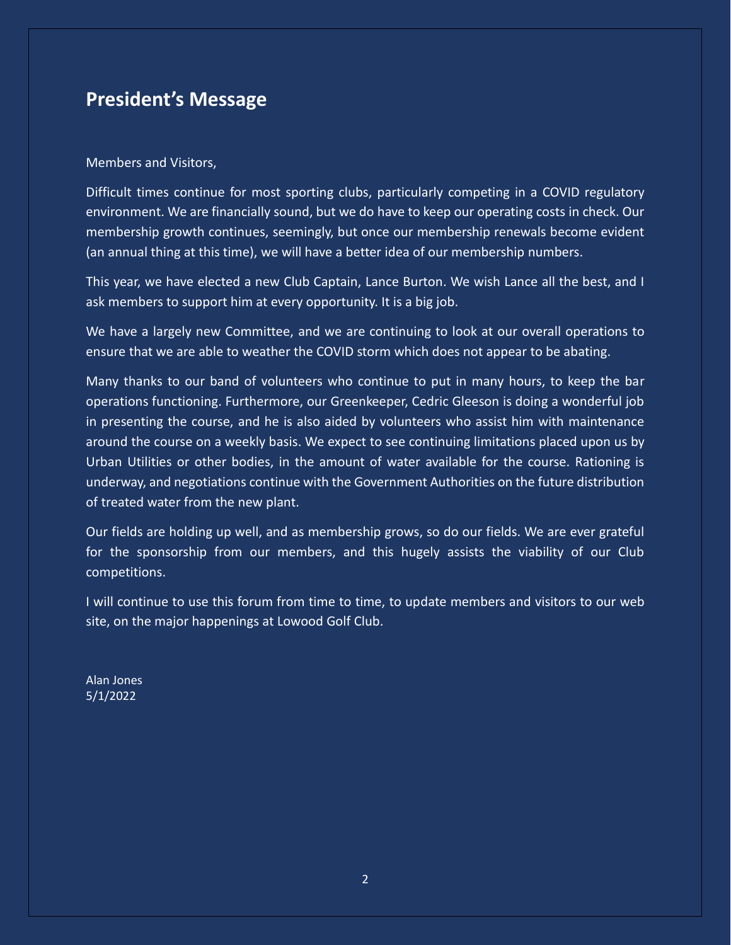## **President's Message**

Members and Visitors,

Difficult times continue for most sporting clubs, particularly competing in a COVID regulatory environment. We are financially sound, but we do have to keep our operating costs in check. Our membership growth continues, seemingly, but once our membership renewals become evident (an annual thing at this time), we will have a better idea of our membership numbers.

This year, we have elected a new Club Captain, Lance Burton. We wish Lance all the best, and I ask members to support him at every opportunity. It is a big job.

We have a largely new Committee, and we are continuing to look at our overall operations to ensure that we are able to weather the COVID storm which does not appear to be abating.

Many thanks to our band of volunteers who continue to put in many hours, to keep the bar operations functioning. Furthermore, our Greenkeeper, Cedric Gleeson is doing a wonderful job in presenting the course, and he is also aided by volunteers who assist him with maintenance around the course on a weekly basis. We expect to see continuing limitations placed upon us by Urban Utilities or other bodies, in the amount of water available for the course. Rationing is underway, and negotiations continue with the Government Authorities on the future distribution of treated water from the new plant.

Our fields are holding up well, and as membership grows, so do our fields. We are ever grateful for the sponsorship from our members, and this hugely assists the viability of our Club competitions.

I will continue to use this forum from time to time, to update members and visitors to our web site, on the major happenings at Lowood Golf Club.

Alan Jones 5/1/2022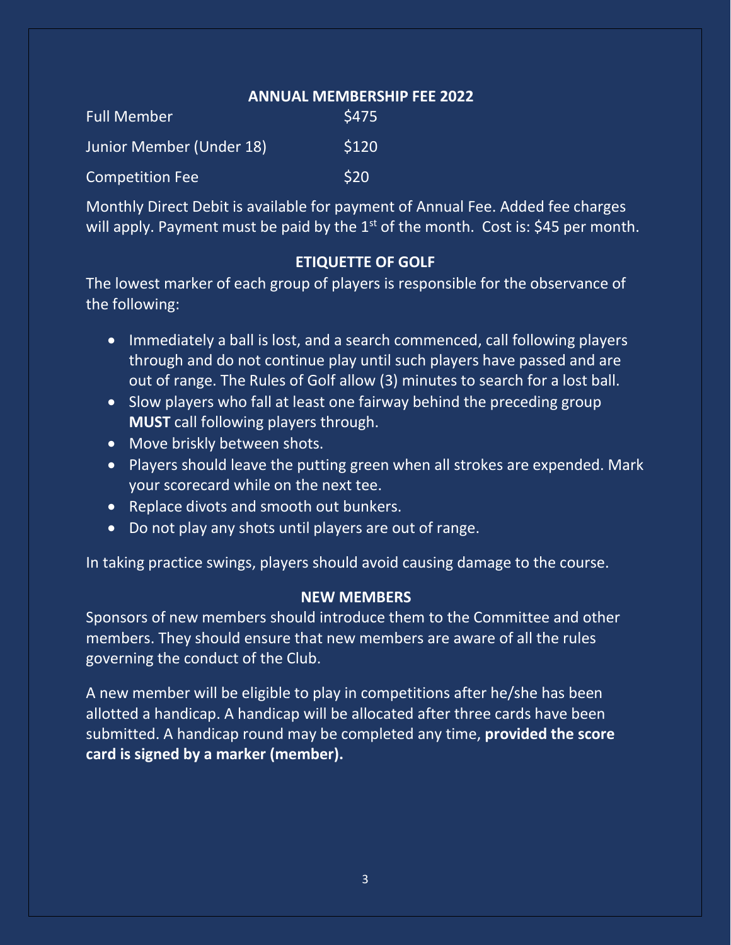### **ANNUAL MEMBERSHIP FEE 2022**

| <b>Full Member</b>       | \$475 |
|--------------------------|-------|
| Junior Member (Under 18) | \$120 |
| <b>Competition Fee</b>   | \$20  |

Monthly Direct Debit is available for payment of Annual Fee. Added fee charges will apply. Payment must be paid by the  $1<sup>st</sup>$  of the month. Cost is: \$45 per month.

## **ETIQUETTE OF GOLF**

The lowest marker of each group of players is responsible for the observance of the following:

- Immediately a ball is lost, and a search commenced, call following players through and do not continue play until such players have passed and are out of range. The Rules of Golf allow (3) minutes to search for a lost ball.
- Slow players who fall at least one fairway behind the preceding group **MUST** call following players through.
- Move briskly between shots.
- Players should leave the putting green when all strokes are expended. Mark your scorecard while on the next tee.
- Replace divots and smooth out bunkers.
- Do not play any shots until players are out of range.

In taking practice swings, players should avoid causing damage to the course.

### **NEW MEMBERS**

Sponsors of new members should introduce them to the Committee and other members. They should ensure that new members are aware of all the rules governing the conduct of the Club.

A new member will be eligible to play in competitions after he/she has been allotted a handicap. A handicap will be allocated after three cards have been submitted. A handicap round may be completed any time, **provided the score card is signed by a marker (member).**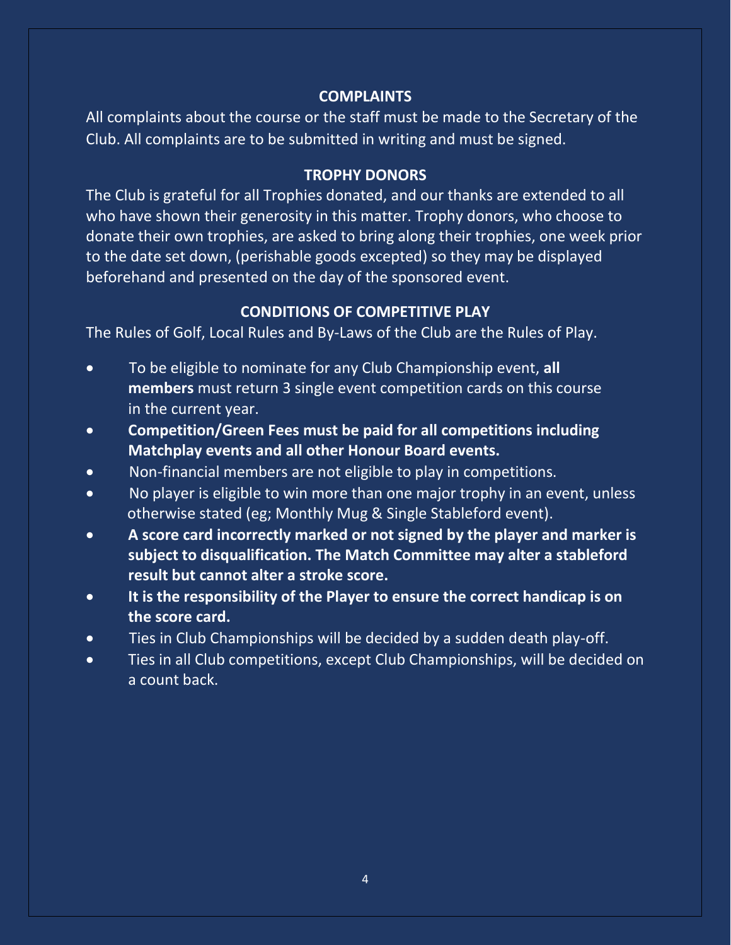## **COMPLAINTS**

All complaints about the course or the staff must be made to the Secretary of the Club. All complaints are to be submitted in writing and must be signed.

## **TROPHY DONORS**

The Club is grateful for all Trophies donated, and our thanks are extended to all who have shown their generosity in this matter. Trophy donors, who choose to donate their own trophies, are asked to bring along their trophies, one week prior to the date set down, (perishable goods excepted) so they may be displayed beforehand and presented on the day of the sponsored event.

## **CONDITIONS OF COMPETITIVE PLAY**

The Rules of Golf, Local Rules and By-Laws of the Club are the Rules of Play.

- To be eligible to nominate for any Club Championship event, **all members** must return 3 single event competition cards on this course in the current year.
- **Competition/Green Fees must be paid for all competitions including Matchplay events and all other Honour Board events.**
- Non-financial members are not eligible to play in competitions.
- No player is eligible to win more than one major trophy in an event, unless otherwise stated (eg; Monthly Mug & Single Stableford event).
- **A score card incorrectly marked or not signed by the player and marker is subject to disqualification. The Match Committee may alter a stableford result but cannot alter a stroke score.**
- **It is the responsibility of the Player to ensure the correct handicap is on the score card.**
- Ties in Club Championships will be decided by a sudden death play-off.
- Ties in all Club competitions, except Club Championships, will be decided on a count back.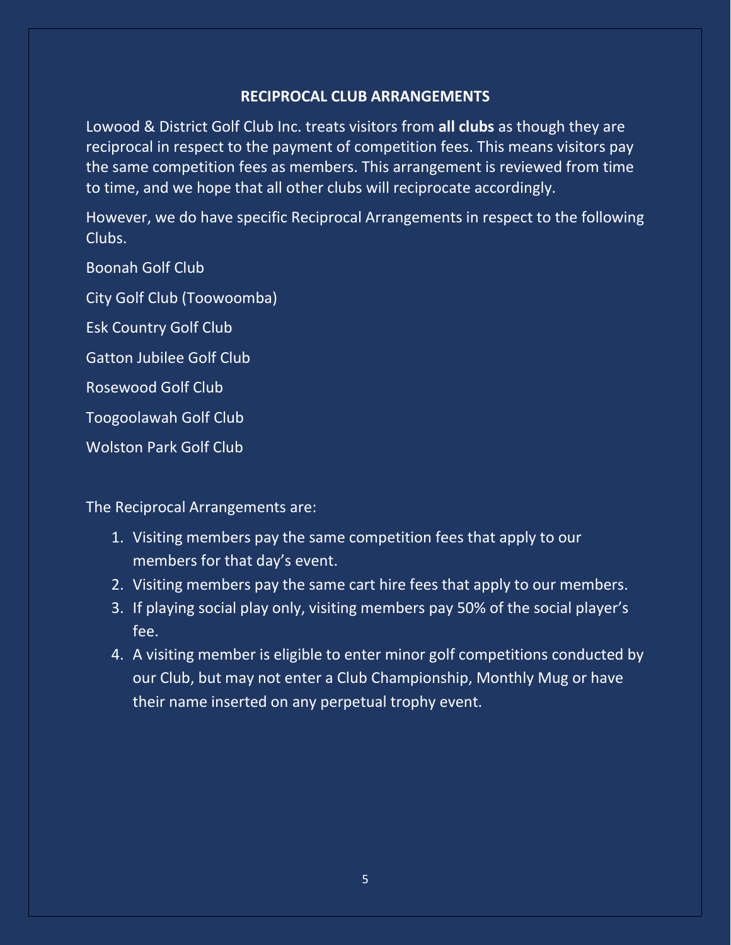## **RECIPROCAL CLUB ARRANGEMENTS**

Lowood & District Golf Club Inc. treats visitors from **all clubs** as though they are reciprocal in respect to the payment of competition fees. This means visitors pay the same competition fees as members. This arrangement is reviewed from time to time, and we hope that all other clubs will reciprocate accordingly.

However, we do have specific Reciprocal Arrangements in respect to the following Clubs.

Boonah Golf Club

City Golf Club (Toowoomba)

Esk Country Golf Club

Gatton Jubilee Golf Club

Rosewood Golf Club

Toogoolawah Golf Club

Wolston Park Golf Club

The Reciprocal Arrangements are:

- 1. Visiting members pay the same competition fees that apply to our members for that day's event.
- 2. Visiting members pay the same cart hire fees that apply to our members.
- 3. If playing social play only, visiting members pay 50% of the social player's fee.
- 4. A visiting member is eligible to enter minor golf competitions conducted by our Club, but may not enter a Club Championship, Monthly Mug or have their name inserted on any perpetual trophy event.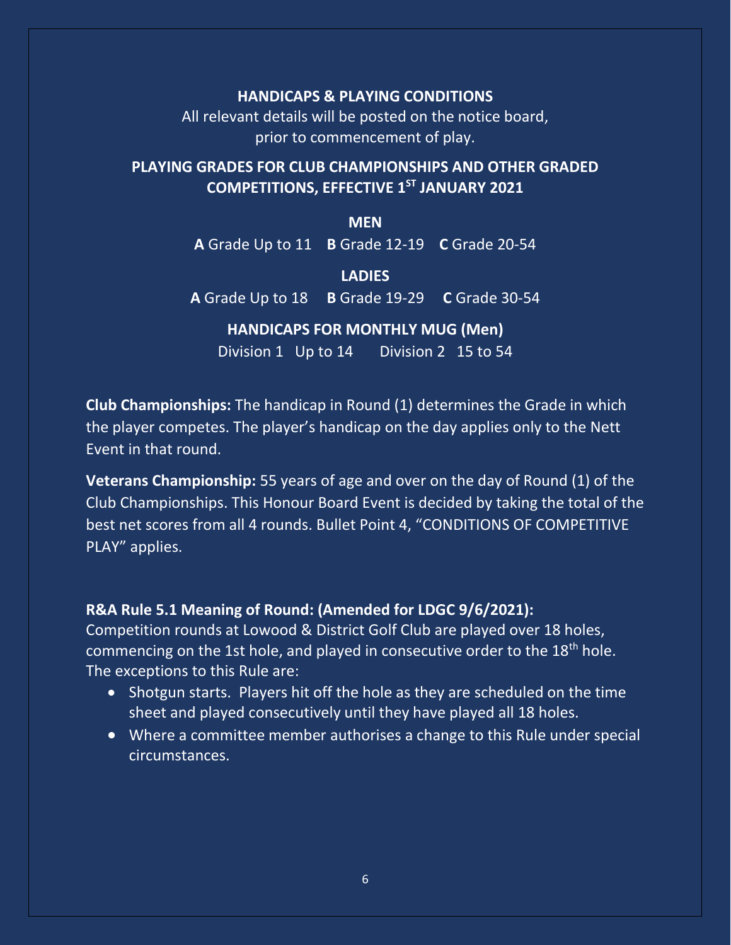## **HANDICAPS & PLAYING CONDITIONS**

All relevant details will be posted on the notice board, prior to commencement of play.

## **PLAYING GRADES FOR CLUB CHAMPIONSHIPS AND OTHER GRADED COMPETITIONS, EFFECTIVE 1ST JANUARY 2021**

**MEN**

**A** Grade Up to 11 **B** Grade 12-19 **C** Grade 20-54

**LADIES**

**A** Grade Up to 18 **B** Grade 19-29 **C** Grade 30-54

## **HANDICAPS FOR MONTHLY MUG (Men)**

Division 1 Up to 14 Division 2 15 to 54

**Club Championships:** The handicap in Round (1) determines the Grade in which the player competes. The player's handicap on the day applies only to the Nett Event in that round.

**Veterans Championship:** 55 years of age and over on the day of Round (1) of the Club Championships. This Honour Board Event is decided by taking the total of the best net scores from all 4 rounds. Bullet Point 4, "CONDITIONS OF COMPETITIVE PLAY" applies.

## **R&A Rule 5.1 Meaning of Round: (Amended for LDGC 9/6/2021):**

Competition rounds at Lowood & District Golf Club are played over 18 holes, commencing on the 1st hole, and played in consecutive order to the 18<sup>th</sup> hole. The exceptions to this Rule are:

- Shotgun starts. Players hit off the hole as they are scheduled on the time sheet and played consecutively until they have played all 18 holes.
- Where a committee member authorises a change to this Rule under special circumstances.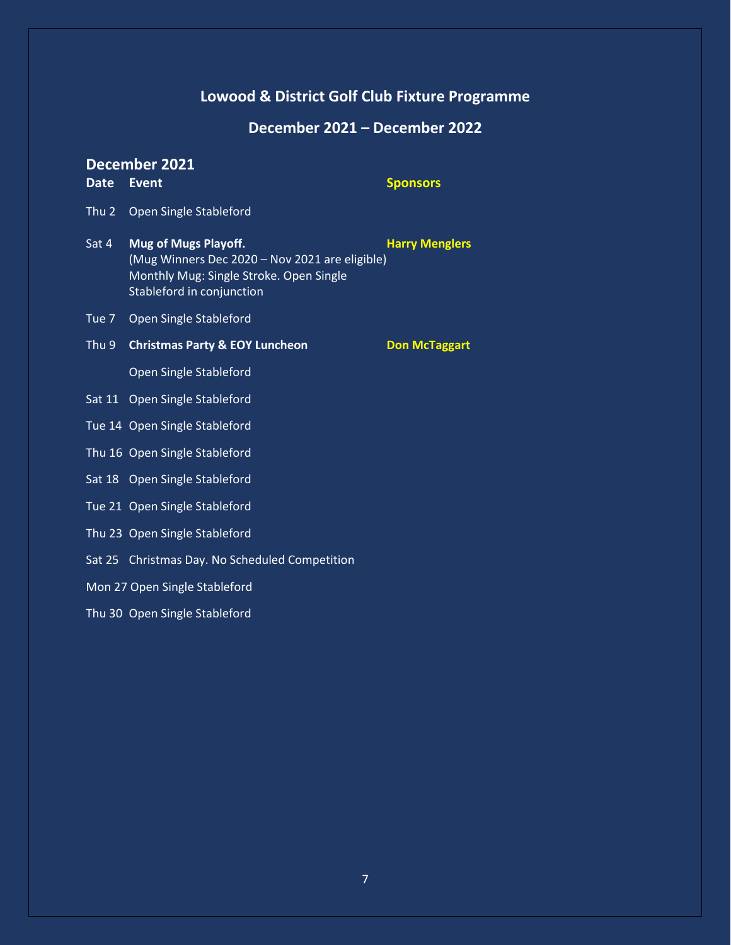## **Lowood & District Golf Club Fixture Programme**

**December 2021 – December 2022**

# **December 2021 Date Event Sponsors** Thu 2 Open Single Stableford Sat 4 **Mug of Mugs Playoff. Harry Menglers Harry Menglers** (Mug Winners Dec 2020 – Nov 2021 are eligible) Monthly Mug: Single Stroke. Open Single Stableford in conjunction Tue 7 Open Single Stableford Thu 9 **Christmas Party & EOY Luncheon Don McTaggart** Open Single Stableford Sat 11 Open Single Stableford Tue 14 Open Single Stableford Thu 16 Open Single Stableford Sat 18 Open Single Stableford Tue 21 Open Single Stableford Thu 23 Open Single Stableford Sat 25 Christmas Day. No Scheduled Competition Mon 27 Open Single Stableford

Thu 30 Open Single Stableford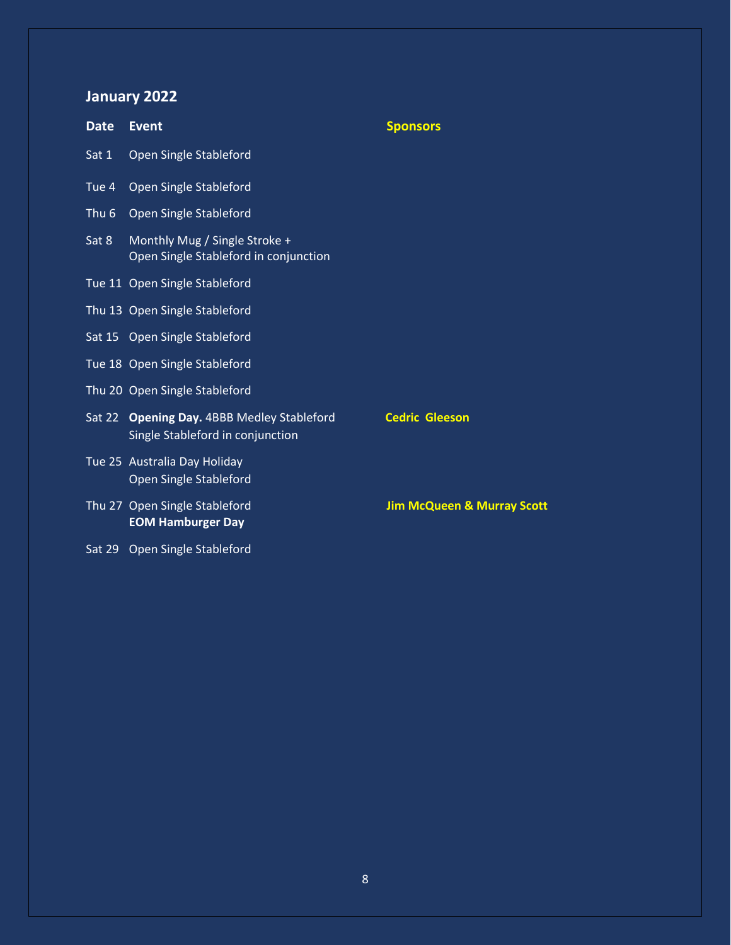## **January 2022**

| <b>Date</b>      | <b>Event</b>                                                                   | <b>Sponsors</b>                       |
|------------------|--------------------------------------------------------------------------------|---------------------------------------|
| Sat 1            | Open Single Stableford                                                         |                                       |
| Tue $4$          | Open Single Stableford                                                         |                                       |
| Thu <sub>6</sub> | Open Single Stableford                                                         |                                       |
| Sat 8            | Monthly Mug / Single Stroke +<br>Open Single Stableford in conjunction         |                                       |
|                  | Tue 11 Open Single Stableford                                                  |                                       |
|                  | Thu 13 Open Single Stableford                                                  |                                       |
|                  | Sat 15 Open Single Stableford                                                  |                                       |
|                  | Tue 18 Open Single Stableford                                                  |                                       |
|                  | Thu 20 Open Single Stableford                                                  |                                       |
|                  | Sat 22 Opening Day. 4BBB Medley Stableford<br>Single Stableford in conjunction | <b>Cedric Gleeson</b>                 |
|                  | Tue 25 Australia Day Holiday<br>Open Single Stableford                         |                                       |
|                  | Thu 27 Open Single Stableford<br><b>EOM Hamburger Day</b>                      | <b>Jim McQueen &amp; Murray Scott</b> |
| Sat 29           | Open Single Stableford                                                         |                                       |

8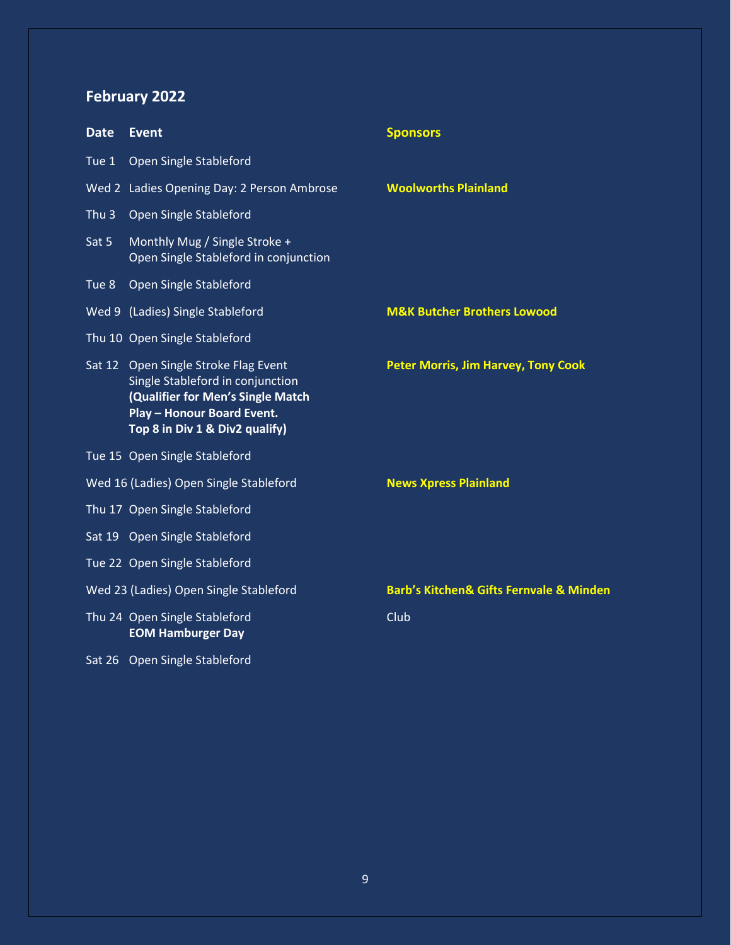## **February 2022**

| <b>Date</b>      | <b>Event</b>                                                                                                                                                                  | <b>Sponsors</b>                                        |
|------------------|-------------------------------------------------------------------------------------------------------------------------------------------------------------------------------|--------------------------------------------------------|
| Tue 1            | Open Single Stableford                                                                                                                                                        |                                                        |
|                  | Wed 2 Ladies Opening Day: 2 Person Ambrose                                                                                                                                    | <b>Woolworths Plainland</b>                            |
| Thu <sub>3</sub> | Open Single Stableford                                                                                                                                                        |                                                        |
| Sat 5            | Monthly Mug / Single Stroke +<br>Open Single Stableford in conjunction                                                                                                        |                                                        |
| Tue 8            | Open Single Stableford                                                                                                                                                        |                                                        |
|                  | Wed 9 (Ladies) Single Stableford                                                                                                                                              | <b>M&amp;K Butcher Brothers Lowood</b>                 |
|                  | Thu 10 Open Single Stableford                                                                                                                                                 |                                                        |
|                  | Sat 12 Open Single Stroke Flag Event<br>Single Stableford in conjunction<br>(Qualifier for Men's Single Match<br>Play - Honour Board Event.<br>Top 8 in Div 1 & Div2 qualify) | <b>Peter Morris, Jim Harvey, Tony Cook</b>             |
|                  | Tue 15 Open Single Stableford                                                                                                                                                 |                                                        |
|                  | Wed 16 (Ladies) Open Single Stableford                                                                                                                                        | <b>News Xpress Plainland</b>                           |
|                  | Thu 17 Open Single Stableford                                                                                                                                                 |                                                        |
|                  | Sat 19 Open Single Stableford                                                                                                                                                 |                                                        |
|                  | Tue 22 Open Single Stableford                                                                                                                                                 |                                                        |
|                  | Wed 23 (Ladies) Open Single Stableford                                                                                                                                        | <b>Barb's Kitchen&amp; Gifts Fernvale &amp; Minden</b> |
|                  | Thu 24 Open Single Stableford<br><b>EOM Hamburger Day</b>                                                                                                                     | Club                                                   |
|                  | Sat 26 Open Single Stableford                                                                                                                                                 |                                                        |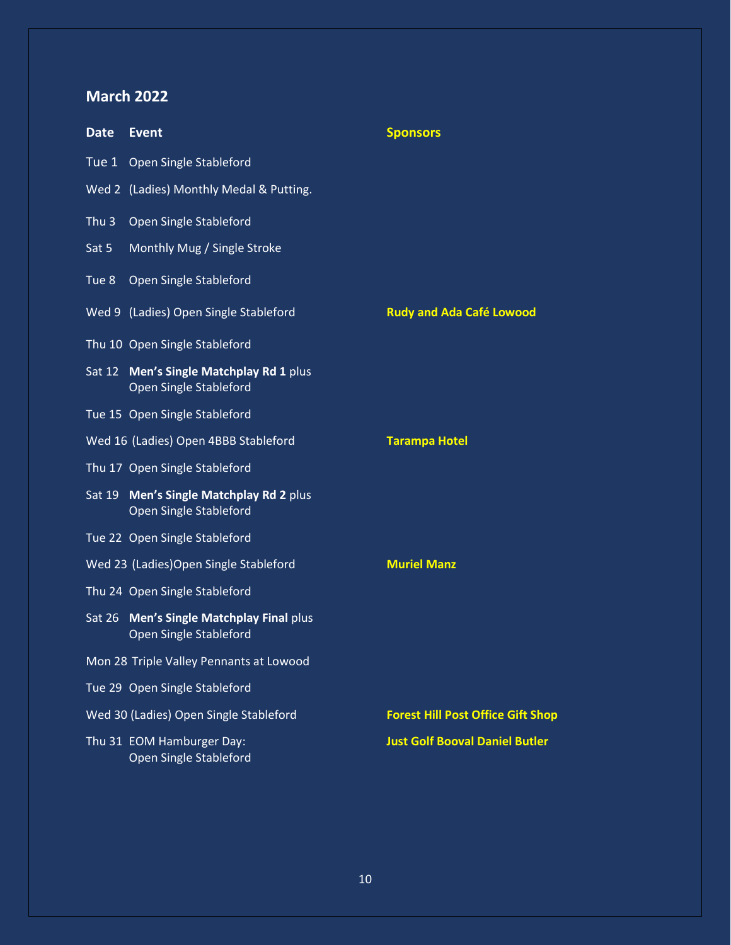## **March 2022**

| <b>Date</b>      | Event                                                              | <b>Sponsors</b>                          |
|------------------|--------------------------------------------------------------------|------------------------------------------|
|                  | Tue 1 Open Single Stableford                                       |                                          |
|                  | Wed 2 (Ladies) Monthly Medal & Putting.                            |                                          |
| Thu <sub>3</sub> | Open Single Stableford                                             |                                          |
| Sat <sub>5</sub> | Monthly Mug / Single Stroke                                        |                                          |
| Tue 8            | Open Single Stableford                                             |                                          |
|                  | Wed 9 (Ladies) Open Single Stableford                              | <b>Rudy and Ada Café Lowood</b>          |
|                  | Thu 10 Open Single Stableford                                      |                                          |
|                  | Sat 12 Men's Single Matchplay Rd 1 plus<br>Open Single Stableford  |                                          |
|                  | Tue 15 Open Single Stableford                                      |                                          |
|                  | Wed 16 (Ladies) Open 4BBB Stableford                               | <b>Tarampa Hotel</b>                     |
|                  | Thu 17 Open Single Stableford                                      |                                          |
|                  | Sat 19 Men's Single Matchplay Rd 2 plus<br>Open Single Stableford  |                                          |
|                  | Tue 22 Open Single Stableford                                      |                                          |
|                  | Wed 23 (Ladies) Open Single Stableford                             | <b>Muriel Manz</b>                       |
|                  | Thu 24 Open Single Stableford                                      |                                          |
|                  | Sat 26 Men's Single Matchplay Final plus<br>Open Single Stableford |                                          |
|                  | Mon 28 Triple Valley Pennants at Lowood                            |                                          |
|                  | Tue 29 Open Single Stableford                                      |                                          |
|                  | Wed 30 (Ladies) Open Single Stableford                             | <b>Forest Hill Post Office Gift Shop</b> |
|                  | Thu 31 EOM Hamburger Day:<br><b>Open Single Stableford</b>         | <b>Just Golf Booval Daniel Butler</b>    |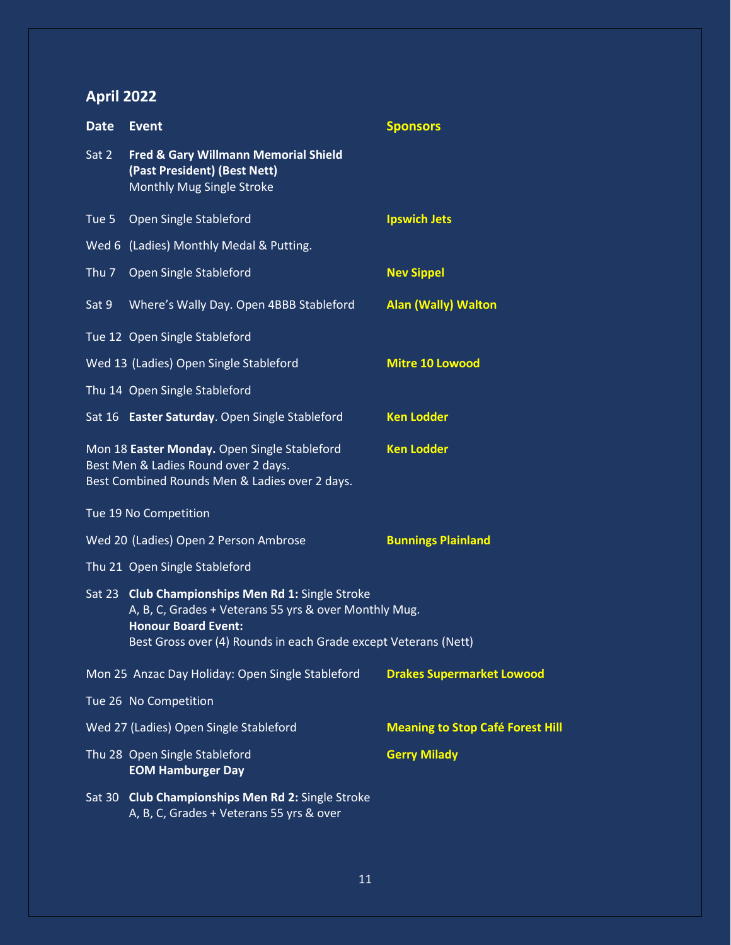# **April 2022**

| <b>Date</b>      | <b>Event</b>                                                                                                                                                                                                | <b>Sponsors</b>                         |
|------------------|-------------------------------------------------------------------------------------------------------------------------------------------------------------------------------------------------------------|-----------------------------------------|
| Sat 2            | Fred & Gary Willmann Memorial Shield<br>(Past President) (Best Nett)<br>Monthly Mug Single Stroke                                                                                                           |                                         |
| Tue $5$          | Open Single Stableford                                                                                                                                                                                      | <b>Ipswich Jets</b>                     |
|                  | Wed 6 (Ladies) Monthly Medal & Putting.                                                                                                                                                                     |                                         |
| Thu <sub>7</sub> | Open Single Stableford                                                                                                                                                                                      | <b>Nev Sippel</b>                       |
| Sat 9            | Where's Wally Day. Open 4BBB Stableford                                                                                                                                                                     | <b>Alan (Wally) Walton</b>              |
|                  | Tue 12 Open Single Stableford                                                                                                                                                                               |                                         |
|                  | Wed 13 (Ladies) Open Single Stableford                                                                                                                                                                      | <b>Mitre 10 Lowood</b>                  |
|                  | Thu 14 Open Single Stableford                                                                                                                                                                               |                                         |
|                  | Sat 16 Easter Saturday. Open Single Stableford                                                                                                                                                              | <b>Ken Lodder</b>                       |
|                  | Mon 18 Easter Monday. Open Single Stableford<br>Best Men & Ladies Round over 2 days.<br>Best Combined Rounds Men & Ladies over 2 days.                                                                      | <b>Ken Lodder</b>                       |
|                  | Tue 19 No Competition                                                                                                                                                                                       |                                         |
|                  | Wed 20 (Ladies) Open 2 Person Ambrose                                                                                                                                                                       | <b>Bunnings Plainland</b>               |
|                  | Thu 21 Open Single Stableford                                                                                                                                                                               |                                         |
|                  | Sat 23 Club Championships Men Rd 1: Single Stroke<br>A, B, C, Grades + Veterans 55 yrs & over Monthly Mug.<br><b>Honour Board Event:</b><br>Best Gross over (4) Rounds in each Grade except Veterans (Nett) |                                         |
|                  | Mon 25 Anzac Day Holiday: Open Single Stableford                                                                                                                                                            | <b>Drakes Supermarket Lowood</b>        |
|                  | Tue 26 No Competition                                                                                                                                                                                       |                                         |
|                  | Wed 27 (Ladies) Open Single Stableford                                                                                                                                                                      | <b>Meaning to Stop Café Forest Hill</b> |
|                  | Thu 28 Open Single Stableford<br><b>EOM Hamburger Day</b>                                                                                                                                                   | <b>Gerry Milady</b>                     |
|                  | Sat 30 Club Championships Men Rd 2: Single Stroke<br>A, B, C, Grades + Veterans 55 yrs & over                                                                                                               |                                         |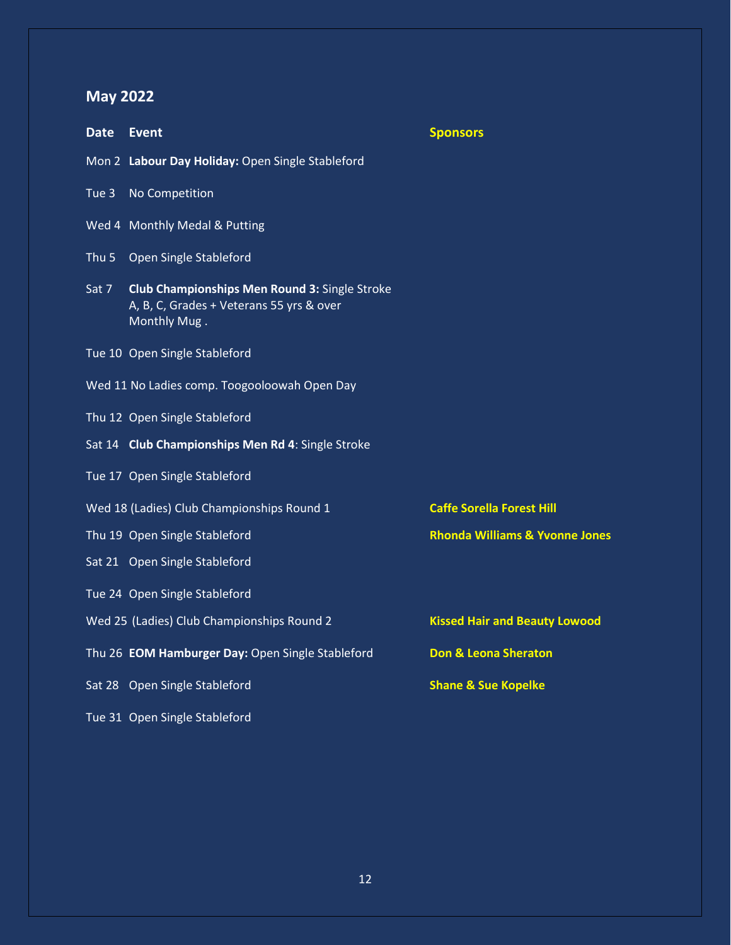## **May 2022**

| Date  | Event                                                                                                            | <b>Sponsors</b>                           |
|-------|------------------------------------------------------------------------------------------------------------------|-------------------------------------------|
|       | Mon 2 Labour Day Holiday: Open Single Stableford                                                                 |                                           |
| Tue 3 | No Competition                                                                                                   |                                           |
|       | Wed 4 Monthly Medal & Putting                                                                                    |                                           |
| Thu 5 | Open Single Stableford                                                                                           |                                           |
| Sat 7 | <b>Club Championships Men Round 3: Single Stroke</b><br>A, B, C, Grades + Veterans 55 yrs & over<br>Monthly Mug. |                                           |
|       | Tue 10 Open Single Stableford                                                                                    |                                           |
|       | Wed 11 No Ladies comp. Toogooloowah Open Day                                                                     |                                           |
|       | Thu 12 Open Single Stableford                                                                                    |                                           |
|       | Sat 14 Club Championships Men Rd 4: Single Stroke                                                                |                                           |
|       | Tue 17 Open Single Stableford                                                                                    |                                           |
|       | Wed 18 (Ladies) Club Championships Round 1                                                                       | <b>Caffe Sorella Forest Hill</b>          |
|       | Thu 19 Open Single Stableford                                                                                    | <b>Rhonda Williams &amp; Yvonne Jones</b> |
|       | Sat 21 Open Single Stableford                                                                                    |                                           |
|       | Tue 24 Open Single Stableford                                                                                    |                                           |
|       | Wed 25 (Ladies) Club Championships Round 2                                                                       | <b>Kissed Hair and Beauty Lowood</b>      |
|       | Thu 26 EOM Hamburger Day: Open Single Stableford                                                                 | <b>Don &amp; Leona Sheraton</b>           |
|       | Sat 28 Open Single Stableford                                                                                    | <b>Shane &amp; Sue Kopelke</b>            |
|       | Tue 31 Open Single Stableford                                                                                    |                                           |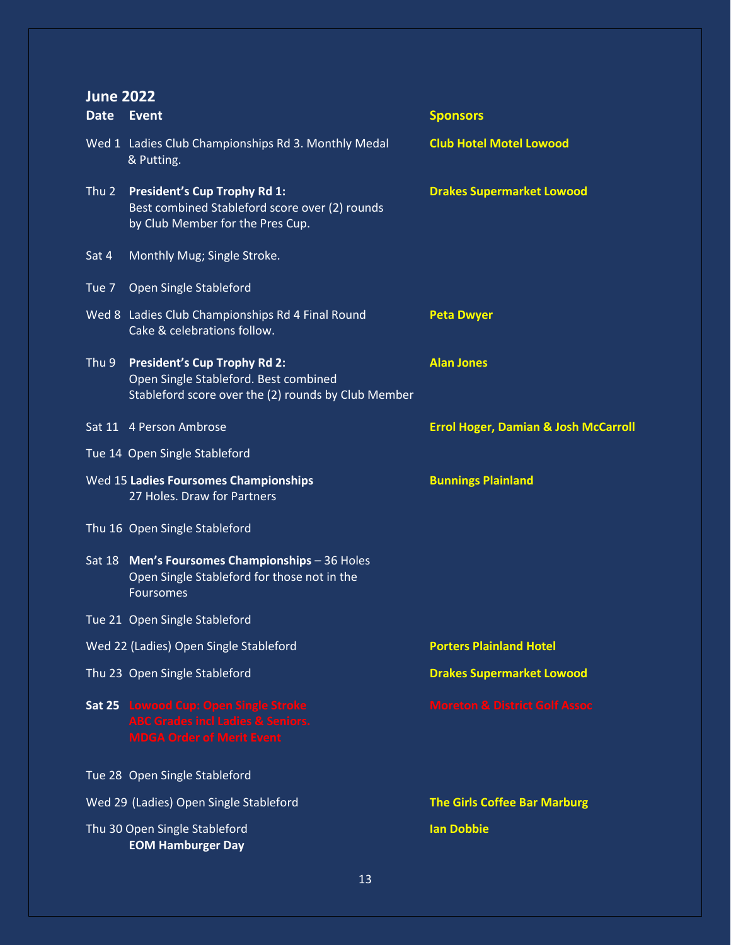### **JUNE**

| <b>JULIE ZUZZ</b> |                                                                                                                                     |                                                 |
|-------------------|-------------------------------------------------------------------------------------------------------------------------------------|-------------------------------------------------|
| <b>Date</b>       | <b>Event</b>                                                                                                                        | <b>Sponsors</b>                                 |
|                   | Wed 1 Ladies Club Championships Rd 3. Monthly Medal<br>& Putting.                                                                   | <b>Club Hotel Motel Lowood</b>                  |
| Thu 2             | <b>President's Cup Trophy Rd 1:</b><br>Best combined Stableford score over (2) rounds<br>by Club Member for the Pres Cup.           | <b>Drakes Supermarket Lowood</b>                |
| Sat 4             | Monthly Mug; Single Stroke.                                                                                                         |                                                 |
| Tue 7             | Open Single Stableford                                                                                                              |                                                 |
|                   | Wed 8 Ladies Club Championships Rd 4 Final Round<br>Cake & celebrations follow.                                                     | <b>Peta Dwyer</b>                               |
| Thu 9             | <b>President's Cup Trophy Rd 2:</b><br>Open Single Stableford. Best combined<br>Stableford score over the (2) rounds by Club Member | <b>Alan Jones</b>                               |
|                   | Sat 11 4 Person Ambrose                                                                                                             | <b>Errol Hoger, Damian &amp; Josh McCarroll</b> |
|                   | Tue 14 Open Single Stableford                                                                                                       |                                                 |
|                   | Wed 15 Ladies Foursomes Championships<br>27 Holes. Draw for Partners                                                                | <b>Bunnings Plainland</b>                       |
|                   | Thu 16 Open Single Stableford                                                                                                       |                                                 |
|                   | Sat 18 Men's Foursomes Championships - 36 Holes<br>Open Single Stableford for those not in the<br><b>Foursomes</b>                  |                                                 |
|                   | Tue 21 Open Single Stableford                                                                                                       |                                                 |
|                   | Wed 22 (Ladies) Open Single Stableford                                                                                              | <b>Porters Plainland Hotel</b>                  |
|                   | Thu 23 Open Single Stableford                                                                                                       | <b>Drakes Supermarket Lowood</b>                |
|                   | Sat 25 Lowood Cup: Open Single Stroke<br><b>ABC Grades incl Ladies &amp; Seniors.</b><br><b>MDGA Order of Merit Event</b>           | <b>Moreton &amp; District Golf Assoc</b>        |
|                   | Tue 28 Open Single Stableford                                                                                                       |                                                 |
|                   | Wed 29 (Ladies) Open Single Stableford                                                                                              | <b>The Girls Coffee Bar Marburg</b>             |
|                   | Thu 30 Open Single Stableford<br><b>EOM Hamburger Day</b>                                                                           | <b>Ian Dobbie</b>                               |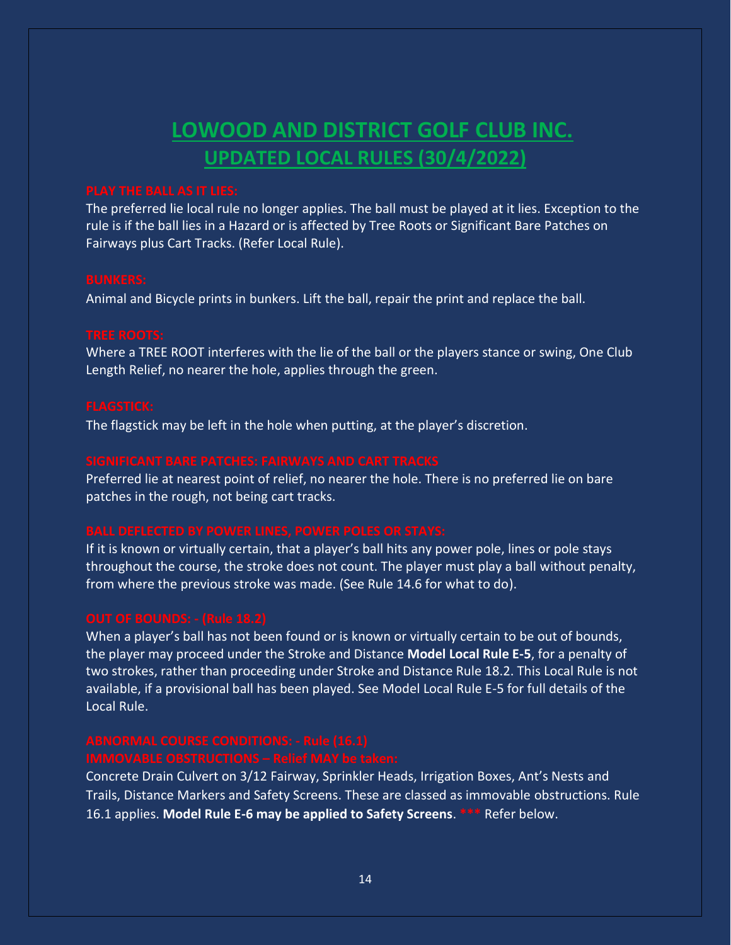# **LOWOOD AND DISTRICT GOLF CLUB INC. UPDATED LOCAL RULES (30/4/2022)**

The preferred lie local rule no longer applies. The ball must be played at it lies. Exception to the rule is if the ball lies in a Hazard or is affected by Tree Roots or Significant Bare Patches on Fairways plus Cart Tracks. (Refer Local Rule).

Animal and Bicycle prints in bunkers. Lift the ball, repair the print and replace the ball.

Where a TREE ROOT interferes with the lie of the ball or the players stance or swing, One Club Length Relief, no nearer the hole, applies through the green.

The flagstick may be left in the hole when putting, at the player's discretion.

Preferred lie at nearest point of relief, no nearer the hole. There is no preferred lie on bare patches in the rough, not being cart tracks.

If it is known or virtually certain, that a player's ball hits any power pole, lines or pole stays throughout the course, the stroke does not count. The player must play a ball without penalty, from where the previous stroke was made. (See Rule 14.6 for what to do).

When a player's ball has not been found or is known or virtually certain to be out of bounds, the player may proceed under the Stroke and Distance **Model Local Rule E-5**, for a penalty of two strokes, rather than proceeding under Stroke and Distance Rule 18.2. This Local Rule is not available, if a provisional ball has been played. See Model Local Rule E-5 for full details of the Local Rule.

Concrete Drain Culvert on 3/12 Fairway, Sprinkler Heads, Irrigation Boxes, Ant's Nests and Trails, Distance Markers and Safety Screens. These are classed as immovable obstructions. Rule 16.1 applies. **Model Rule E-6 may be applied to Safety Screens**. **\*\*\*** Refer below.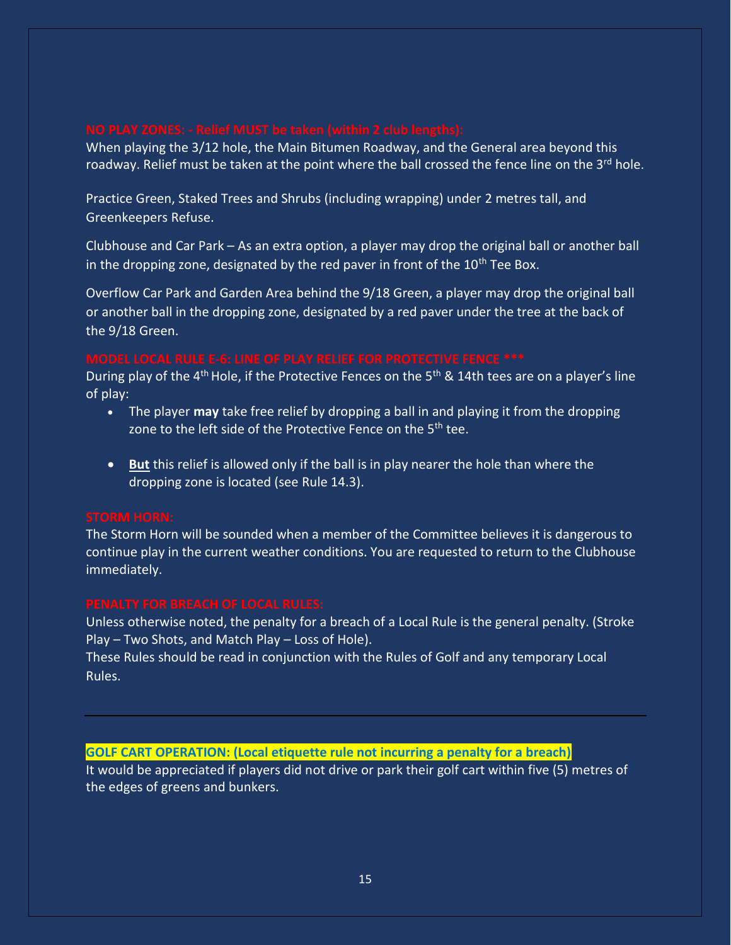When playing the 3/12 hole, the Main Bitumen Roadway, and the General area beyond this roadway. Relief must be taken at the point where the ball crossed the fence line on the  $3^{\text{rd}}$  hole.

Practice Green, Staked Trees and Shrubs (including wrapping) under 2 metres tall, and Greenkeepers Refuse.

Clubhouse and Car Park – As an extra option, a player may drop the original ball or another ball in the dropping zone, designated by the red paver in front of the  $10<sup>th</sup>$  Tee Box.

Overflow Car Park and Garden Area behind the 9/18 Green, a player may drop the original ball or another ball in the dropping zone, designated by a red paver under the tree at the back of the 9/18 Green.

During play of the 4<sup>th</sup> Hole, if the Protective Fences on the 5<sup>th</sup> & 14th tees are on a player's line of play:

- The player **may** take free relief by dropping a ball in and playing it from the dropping zone to the left side of the Protective Fence on the 5<sup>th</sup> tee.
- **But** this relief is allowed only if the ball is in play nearer the hole than where the dropping zone is located (see Rule 14.3).

The Storm Horn will be sounded when a member of the Committee believes it is dangerous to continue play in the current weather conditions. You are requested to return to the Clubhouse immediately.

Unless otherwise noted, the penalty for a breach of a Local Rule is the general penalty. (Stroke Play – Two Shots, and Match Play – Loss of Hole).

These Rules should be read in conjunction with the Rules of Golf and any temporary Local Rules.

### **GOLF CART OPERATION: (Local etiquette rule not incurring a penalty for a breach)**

It would be appreciated if players did not drive or park their golf cart within five (5) metres of the edges of greens and bunkers.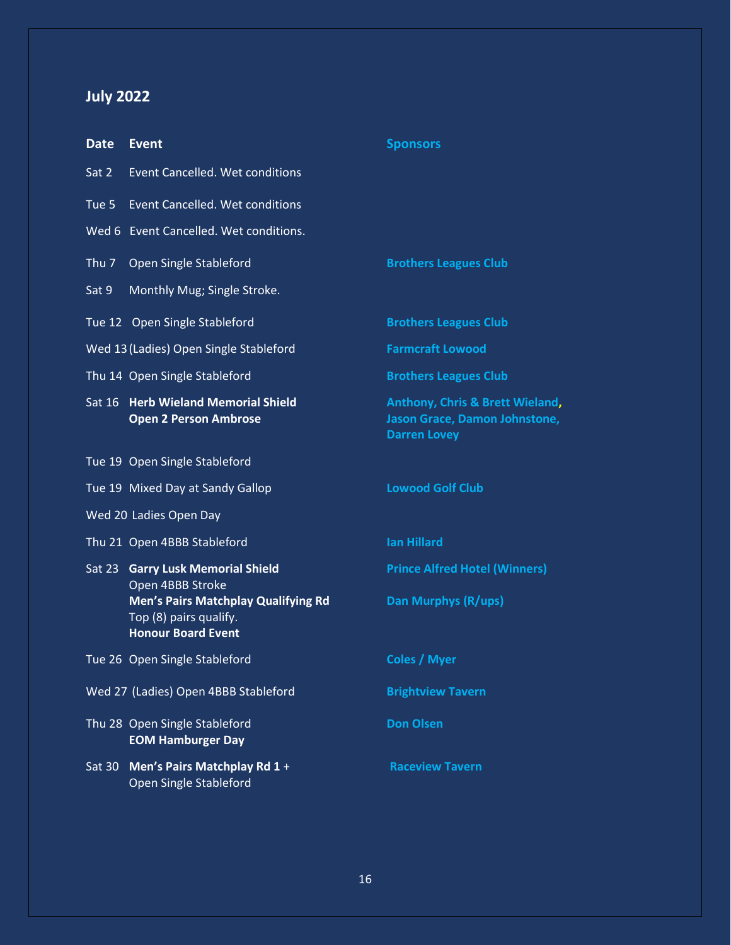## **July 2022**

| <b>Date</b> | <b>Event</b>                                                                               | <b>Sponsors</b>                                                                         |
|-------------|--------------------------------------------------------------------------------------------|-----------------------------------------------------------------------------------------|
| Sat 2       | <b>Event Cancelled. Wet conditions</b>                                                     |                                                                                         |
| Tue 5       | <b>Event Cancelled. Wet conditions</b>                                                     |                                                                                         |
|             | Wed 6 Event Cancelled. Wet conditions.                                                     |                                                                                         |
| Thu $7$     | Open Single Stableford                                                                     | <b>Brothers Leagues Club</b>                                                            |
| Sat 9       | Monthly Mug; Single Stroke.                                                                |                                                                                         |
|             | Tue 12 Open Single Stableford                                                              | <b>Brothers Leagues Club</b>                                                            |
|             | Wed 13 (Ladies) Open Single Stableford                                                     | <b>Farmcraft Lowood</b>                                                                 |
|             | Thu 14 Open Single Stableford                                                              | <b>Brothers Leagues Club</b>                                                            |
|             | Sat 16 Herb Wieland Memorial Shield<br><b>Open 2 Person Ambrose</b>                        | Anthony, Chris & Brett Wieland,<br>Jason Grace, Damon Johnstone,<br><b>Darren Lovey</b> |
|             | Tue 19 Open Single Stableford                                                              |                                                                                         |
|             | Tue 19 Mixed Day at Sandy Gallop                                                           | <b>Lowood Golf Club</b>                                                                 |
|             | Wed 20 Ladies Open Day                                                                     |                                                                                         |
|             | Thu 21 Open 4BBB Stableford                                                                | <b>Ian Hillard</b>                                                                      |
|             | Sat 23 Garry Lusk Memorial Shield<br>Open 4BBB Stroke                                      | <b>Prince Alfred Hotel (Winners)</b>                                                    |
|             | Men's Pairs Matchplay Qualifying Rd<br>Top (8) pairs qualify.<br><b>Honour Board Event</b> | <b>Dan Murphys (R/ups)</b>                                                              |
|             | Tue 26 Open Single Stableford                                                              | <b>Coles / Myer</b>                                                                     |
|             | Wed 27 (Ladies) Open 4BBB Stableford                                                       | <b>Brightview Tavern</b>                                                                |
|             | Thu 28 Open Single Stableford<br><b>EOM Hamburger Day</b>                                  | <b>Don Olsen</b>                                                                        |
| Sat 30      | Men's Pairs Matchplay Rd 1 +<br><b>Open Single Stableford</b>                              | <b>Raceview Tavern</b>                                                                  |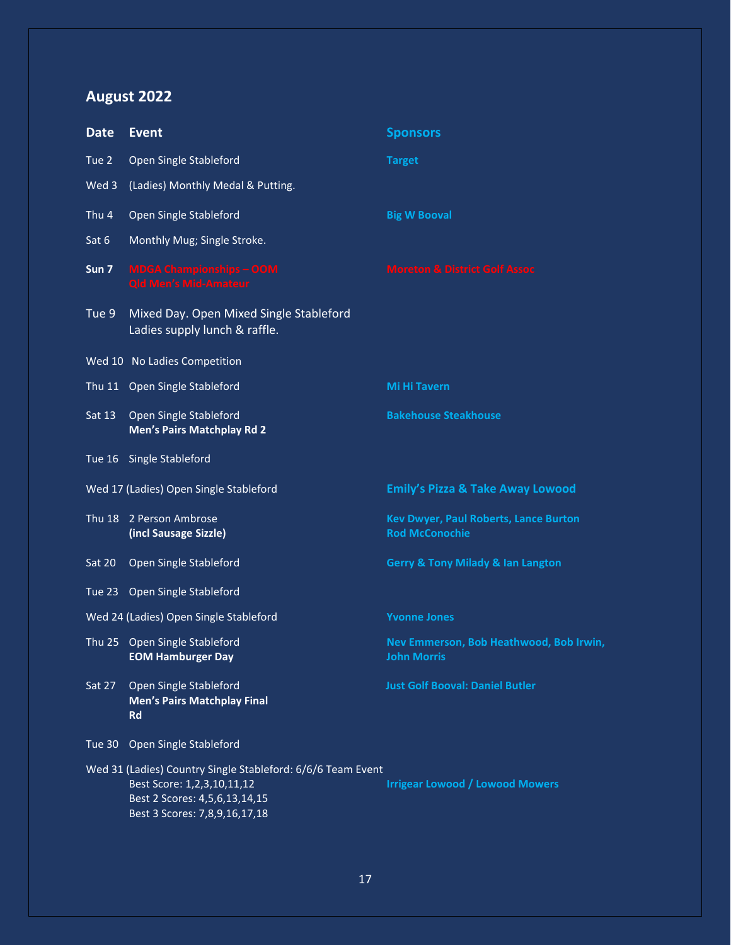## **August 2022**

| <b>Date</b>   | <b>Event</b>                                                                                                                                                | <b>Sponsors</b>                                                       |
|---------------|-------------------------------------------------------------------------------------------------------------------------------------------------------------|-----------------------------------------------------------------------|
| Tue 2         | Open Single Stableford                                                                                                                                      | <b>Target</b>                                                         |
| Wed 3         | (Ladies) Monthly Medal & Putting.                                                                                                                           |                                                                       |
| Thu 4         | Open Single Stableford                                                                                                                                      | <b>Big W Booval</b>                                                   |
| Sat 6         | Monthly Mug; Single Stroke.                                                                                                                                 |                                                                       |
| Sun 7         | <b>MDGA Championships - OOM</b><br>Qld Men's Mid-Amateur                                                                                                    | <b>Moreton &amp; District Golf Assoc</b>                              |
| Tue 9         | Mixed Day. Open Mixed Single Stableford<br>Ladies supply lunch & raffle.                                                                                    |                                                                       |
|               | Wed 10 No Ladies Competition                                                                                                                                |                                                                       |
|               | Thu 11 Open Single Stableford                                                                                                                               | <b>Mi Hi Tavern</b>                                                   |
| Sat 13        | Open Single Stableford<br><b>Men's Pairs Matchplay Rd 2</b>                                                                                                 | <b>Bakehouse Steakhouse</b>                                           |
|               | Tue 16 Single Stableford                                                                                                                                    |                                                                       |
|               | Wed 17 (Ladies) Open Single Stableford                                                                                                                      | <b>Emily's Pizza &amp; Take Away Lowood</b>                           |
|               | Thu 18 2 Person Ambrose<br>(incl Sausage Sizzle)                                                                                                            | <b>Kev Dwyer, Paul Roberts, Lance Burton</b><br><b>Rod McConochie</b> |
| <b>Sat 20</b> | Open Single Stableford                                                                                                                                      | <b>Gerry &amp; Tony Milady &amp; Ian Langton</b>                      |
|               | Tue 23 Open Single Stableford                                                                                                                               |                                                                       |
|               | Wed 24 (Ladies) Open Single Stableford                                                                                                                      | <b>Yvonne Jones</b>                                                   |
|               | Thu 25 Open Single Stableford<br><b>EOM Hamburger Day</b>                                                                                                   | Nev Emmerson, Bob Heathwood, Bob Irwin,<br><b>John Morris</b>         |
| <b>Sat 27</b> | Open Single Stableford<br><b>Men's Pairs Matchplay Final</b><br><b>Rd</b>                                                                                   | <b>Just Golf Booval: Daniel Butler</b>                                |
| Tue 30        | Open Single Stableford                                                                                                                                      |                                                                       |
|               | Wed 31 (Ladies) Country Single Stableford: 6/6/6 Team Event<br>Best Score: 1,2,3,10,11,12<br>Best 2 Scores: 4,5,6,13,14,15<br>Best 3 Scores: 7,8,9,16,17,18 | <b>Irrigear Lowood / Lowood Mowers</b>                                |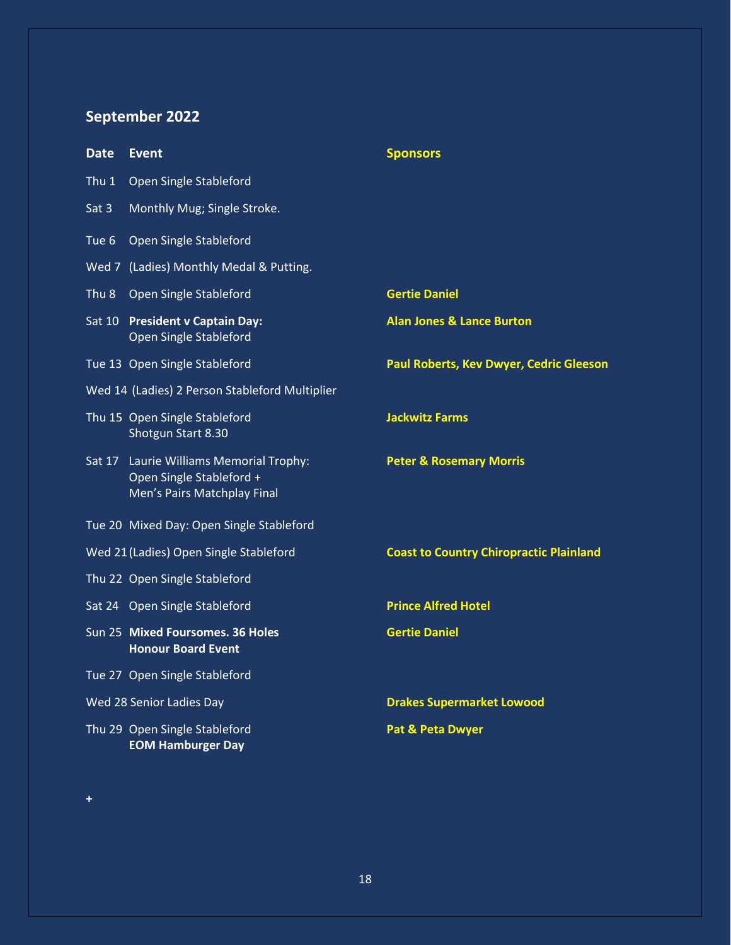## **September 2022**

| <b>Date</b>      | Event                                                                                              | <b>Sponsors</b>                                |
|------------------|----------------------------------------------------------------------------------------------------|------------------------------------------------|
| Thu 1            | Open Single Stableford                                                                             |                                                |
| Sat 3            | Monthly Mug; Single Stroke.                                                                        |                                                |
| Tue 6            | Open Single Stableford                                                                             |                                                |
|                  | Wed 7 (Ladies) Monthly Medal & Putting.                                                            |                                                |
| Thu <sub>8</sub> | Open Single Stableford                                                                             | <b>Gertie Daniel</b>                           |
|                  | Sat 10 President v Captain Day:<br>Open Single Stableford                                          | <b>Alan Jones &amp; Lance Burton</b>           |
|                  | Tue 13 Open Single Stableford                                                                      | <b>Paul Roberts, Kev Dwyer, Cedric Gleeson</b> |
|                  | Wed 14 (Ladies) 2 Person Stableford Multiplier                                                     |                                                |
|                  | Thu 15 Open Single Stableford<br>Shotgun Start 8.30                                                | <b>Jackwitz Farms</b>                          |
|                  | Sat 17 Laurie Williams Memorial Trophy:<br>Open Single Stableford +<br>Men's Pairs Matchplay Final | <b>Peter &amp; Rosemary Morris</b>             |
|                  | Tue 20 Mixed Day: Open Single Stableford                                                           |                                                |
|                  | Wed 21 (Ladies) Open Single Stableford                                                             | <b>Coast to Country Chiropractic Plainland</b> |
|                  | Thu 22 Open Single Stableford                                                                      |                                                |
|                  | Sat 24 Open Single Stableford                                                                      | <b>Prince Alfred Hotel</b>                     |
|                  | Sun 25 Mixed Foursomes. 36 Holes<br><b>Honour Board Event</b>                                      | <b>Gertie Daniel</b>                           |
|                  | Tue 27 Open Single Stableford                                                                      |                                                |
|                  | Wed 28 Senior Ladies Day                                                                           | <b>Drakes Supermarket Lowood</b>               |
|                  | Thu 29 Open Single Stableford<br><b>EOM Hamburger Day</b>                                          | Pat & Peta Dwyer                               |

**+**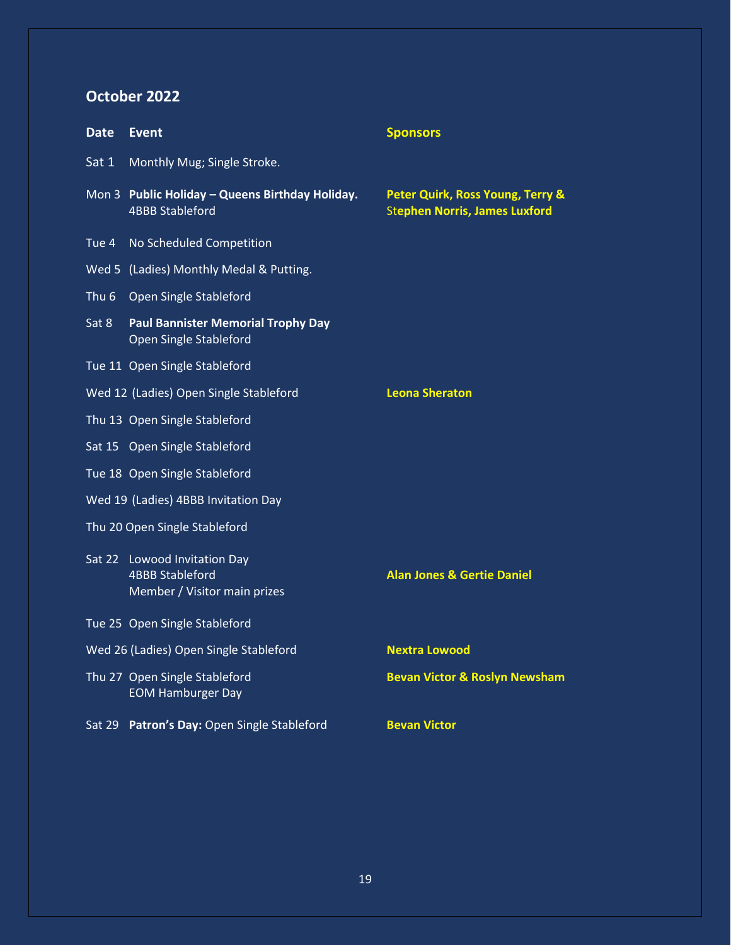## **October 2022**

| Date  | Event                                                                                  | <b>Sponsors</b>                                                          |
|-------|----------------------------------------------------------------------------------------|--------------------------------------------------------------------------|
| Sat 1 | Monthly Mug; Single Stroke.                                                            |                                                                          |
|       | Mon 3 Public Holiday - Queens Birthday Holiday.<br><b>4BBB Stableford</b>              | Peter Quirk, Ross Young, Terry &<br><b>Stephen Norris, James Luxford</b> |
| Tue 4 | No Scheduled Competition                                                               |                                                                          |
|       | Wed 5 (Ladies) Monthly Medal & Putting.                                                |                                                                          |
| Thu 6 | Open Single Stableford                                                                 |                                                                          |
| Sat 8 | <b>Paul Bannister Memorial Trophy Day</b><br>Open Single Stableford                    |                                                                          |
|       | Tue 11 Open Single Stableford                                                          |                                                                          |
|       | Wed 12 (Ladies) Open Single Stableford                                                 | <b>Leona Sheraton</b>                                                    |
|       | Thu 13 Open Single Stableford                                                          |                                                                          |
|       | Sat 15 Open Single Stableford                                                          |                                                                          |
|       | Tue 18 Open Single Stableford                                                          |                                                                          |
|       | Wed 19 (Ladies) 4BBB Invitation Day                                                    |                                                                          |
|       | Thu 20 Open Single Stableford                                                          |                                                                          |
|       | Sat 22 Lowood Invitation Day<br><b>4BBB Stableford</b><br>Member / Visitor main prizes | <b>Alan Jones &amp; Gertie Daniel</b>                                    |
|       | Tue 25 Open Single Stableford                                                          |                                                                          |
|       | Wed 26 (Ladies) Open Single Stableford                                                 | <b>Nextra Lowood</b>                                                     |
|       | Thu 27 Open Single Stableford<br><b>EOM Hamburger Day</b>                              | <b>Bevan Victor &amp; Roslyn Newsham</b>                                 |
|       | Sat 29 Patron's Day: Open Single Stableford                                            | <b>Bevan Victor</b>                                                      |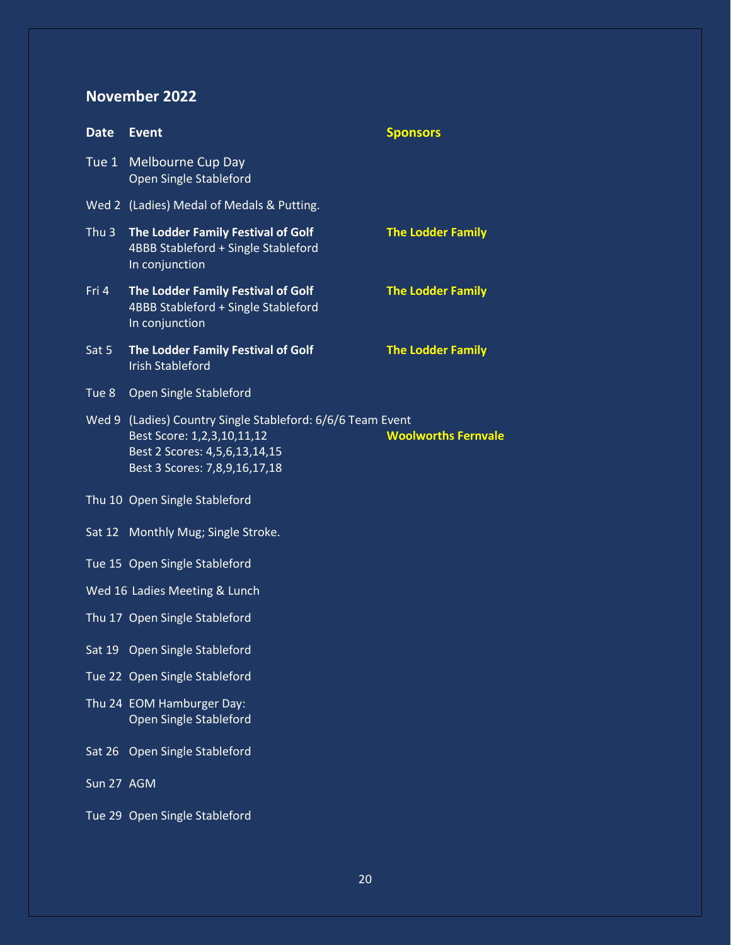## **November 2022**

| <b>Date</b>   | <b>Event</b>                                                                                                                                               | <b>Sponsors</b>            |
|---------------|------------------------------------------------------------------------------------------------------------------------------------------------------------|----------------------------|
| Tue 1         | <b>Melbourne Cup Day</b><br>Open Single Stableford                                                                                                         |                            |
|               | Wed 2 (Ladies) Medal of Medals & Putting.                                                                                                                  |                            |
| Thu 3         | The Lodder Family Festival of Golf<br>4BBB Stableford + Single Stableford<br>In conjunction                                                                | <b>The Lodder Family</b>   |
| Fri 4         | The Lodder Family Festival of Golf<br>4BBB Stableford + Single Stableford<br>In conjunction                                                                | <b>The Lodder Family</b>   |
| Sat 5         | The Lodder Family Festival of Golf<br><b>Irish Stableford</b>                                                                                              | <b>The Lodder Family</b>   |
| Tue 8         | Open Single Stableford                                                                                                                                     |                            |
|               | Wed 9 (Ladies) Country Single Stableford: 6/6/6 Team Event<br>Best Score: 1,2,3,10,11,12<br>Best 2 Scores: 4,5,6,13,14,15<br>Best 3 Scores: 7,8,9,16,17,18 | <b>Woolworths Fernvale</b> |
|               | Thu 10 Open Single Stableford                                                                                                                              |                            |
|               | Sat 12 Monthly Mug; Single Stroke.                                                                                                                         |                            |
|               | Tue 15 Open Single Stableford                                                                                                                              |                            |
|               | Wed 16 Ladies Meeting & Lunch                                                                                                                              |                            |
|               | Thu 17 Open Single Stableford                                                                                                                              |                            |
|               | Sat 19 Open Single Stableford                                                                                                                              |                            |
|               | Tue 22 Open Single Stableford                                                                                                                              |                            |
|               | Thu 24 EOM Hamburger Day:<br>Open Single Stableford                                                                                                        |                            |
| <b>Sat 26</b> | Open Single Stableford                                                                                                                                     |                            |
| Sun 27 AGM    |                                                                                                                                                            |                            |
|               | Tue 29 Open Single Stableford                                                                                                                              |                            |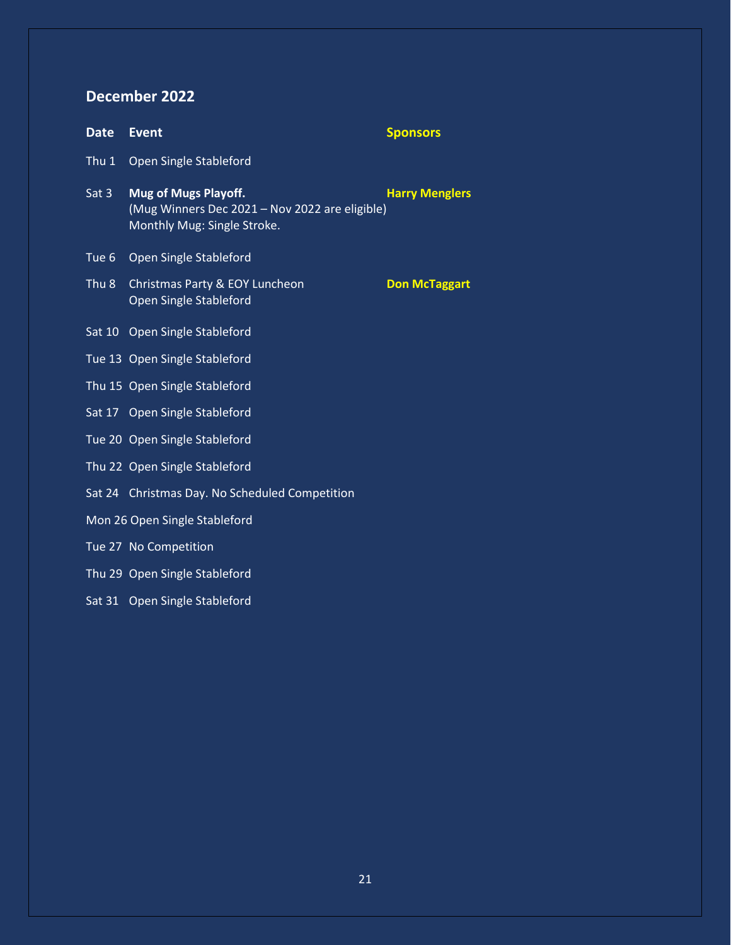## **December 2022**

| <b>Date</b>                   | <b>Event</b>                                                                                                 | <b>Sponsors</b>       |
|-------------------------------|--------------------------------------------------------------------------------------------------------------|-----------------------|
|                               | Thu 1 Open Single Stableford                                                                                 |                       |
| Sat 3                         | <b>Mug of Mugs Playoff.</b><br>(Mug Winners Dec 2021 - Nov 2022 are eligible)<br>Monthly Mug: Single Stroke. | <b>Harry Menglers</b> |
| Tue $6$                       | Open Single Stableford                                                                                       |                       |
| Thu 8                         | Christmas Party & EOY Luncheon<br><b>Open Single Stableford</b>                                              | <b>Don McTaggart</b>  |
|                               | Sat 10 Open Single Stableford                                                                                |                       |
|                               | Tue 13 Open Single Stableford                                                                                |                       |
|                               | Thu 15 Open Single Stableford                                                                                |                       |
|                               | Sat 17 Open Single Stableford                                                                                |                       |
|                               | Tue 20 Open Single Stableford                                                                                |                       |
|                               | Thu 22 Open Single Stableford                                                                                |                       |
|                               | Sat 24 Christmas Day. No Scheduled Competition                                                               |                       |
| Mon 26 Open Single Stableford |                                                                                                              |                       |
|                               | Tue 27 No Competition                                                                                        |                       |
|                               | Thu 29 Open Single Stableford                                                                                |                       |
|                               | Sat 31 Open Single Stableford                                                                                |                       |

21